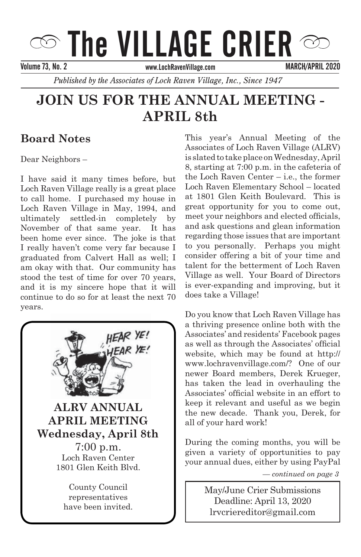# $\circledcirc$  The VILLAGE CRIER  $\circledcirc$

Volume 66, No.05 SEPTEMBER/OCTOBER 2012 Volume 73, No. 2 MARCH/APRIL 2020

*Published by the Associates of Loch Raven Village, Inc., Since 1947* 

# **JOIN US FOR THE ANNUAL MEETING -LOCAL RAVELLY APRIL 8th**

# **Board Notes**

**Letter from the President** Dear Neighbors –

Dear Neighbors, Loch Raven Village really is a great place to call home. I purchased my house in Loch Raven Village in May, 1994, and ultimately settled-in completely by November of that same year. It has been home ever since. The joke is that I really haven't come very far because I graduated from Calvert Hall as Well; I am okay with that. Our community has stood the test of time for over 70 years, and it is my sincere hope that it will continue to do so for at least the next 70 I have said it many times before, but graduated from Calvert Hall as well; I years.



efforts that unite us in as many ways as

Associates of Loch Raven Village (ALRV) is slated to take place on Wednesday, April 8, starting at 7:00 p.m. in the cafeteria of the Loch Raven Center – i.e., the former Loch Raven Elementary School – located at 1801 Glen Keith Boulevard. This is meet your neighbors and elected officials, and ask questions and glean information regarding those issues that are important to you personally. Perhaps you might consider offering a bit of your time and  $t$ alent for the betterment of Loch Raven Village as well. Your Board of Directors is ever-expanding and improving, but it does take a Village! This year's Annual Meeting of the great opportunity for you to come out,

Do you know that Loch Raven Village has bo you know that noon haven village has<br>a thriving presence online both with the a univing presence online both with the<br>Associates' and residents' Facebook pages Associates and residents racebook pages<br>as well as through the Associates' official as wen as through the rissociates official<br>website, which may be found at http:// website, which may be found at http://<br>www.lochravenvillage.com/? One of our Associates' official website in an effort to keep it relevant and useful as we begin the new decade. Thank you, Derek, for all of your hard work! *–continued on page 3* newer Board members, Derek Krueger, has taken the lead in overhauling the

During the coming months, you will be given a variety of opportunities to pay your annual dues, either by using PayPal

Associates of Loch Raven Village. *— continued on page 3*

lrvcriereditor@gmail.com *For Santa's Ride Information see page 3* May/June Crier Submissions Deadline: April 13, 2020

Deadline: December 15, 2014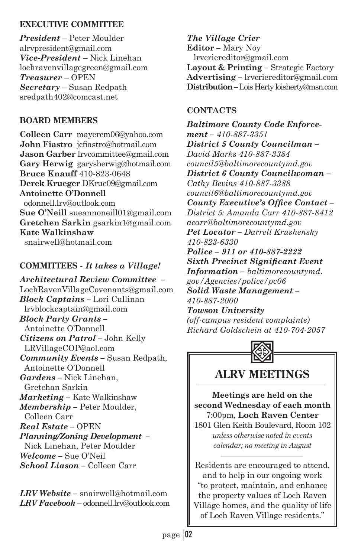#### **EXECUTIVE COMMITTEE**

*President* – Peter Moulder alrvpresident@gmail.com *Vice-President* – Nick Linehan lochravenvillagegreen@gmail.com *Treasurer* – OPEN *Secretary* – Susan Redpath sredpath402@comcast.net

#### **BOARD MEMBERS**

**Colleen Carr** mayercm06@yahoo.com **John Fiastro** icfiastro@hotmail.com **Jason Garber** lrvcommittee@gmail.com **Gary Herwig** garysherwig@hotmail.com **Bruce Knauff** 410-823-0648 **Derek Krueger** DKrue09@gmail.com **Antoinette O'Donnell** odonnell.lrv@outlook.com **Sue O'Neill** sueannoneill01@gmail.com **Gretchen Sarkin** gsarkin1@gmail.com **Kate Walkinshaw** snairwell@hotmail.com

#### **COMMITTEES -** *It takes a Village!*

*Architectural Review Committee –* LochRavenVillageCovenants@gmail.com *Block Captains –* Lori Cullinan lrvblockcaptain@gmail.com *Block Party Grants –* Antoinette O'Donnell *Citizens on Patrol –* John Kelly LRVillageCOP@aol.com *Community Events –* Susan Redpath, Antoinette O'Donnell *Gardens –* Nick Linehan, Gretchan Sarkin *Marketing –* Kate Walkinshaw *Membership –* Peter Moulder, Colleen Carr *Real Estate –* OPEN *Planning/Zoning Development –* Nick Linehan, Peter Moulder *Welcome –* Sue O'Neil *School Liason –* Colleen Carr

*LRV Website –* snairwell@hotmail.com *LRV Facebook* – odonnell.lrv@outlook.com *The Village Crier*  **Editor** *–* Mary Noy lrvcriereditor@gmail.com **Layout & Printing** *–* Strategic Factory **Advertising** *–* lrvcriereditor@gmail.com **Distribution** *–* Lois Herty loisherty@msn.com

#### **CONTACTS**

*Baltimore County Code Enforcement – 410-887-3351 District 5 County Councilman – David Marks 410-887-3384 council5@baltimorecountymd.gov District 6 County Councilwoman – Cathy Bevins 410-887-3388 council6@baltimorecountymd.gov County Executive's Office Contact -District 5: Amanda Carr 410-887-8412 acarr@baltimorecountymd.gov Pet Locator – Darrell Krushensky 410-823-6330 Police – 911 or 410-887-2222*   $Sixth$  *Precinct Significant Event Information – baltimorecountymd. gov/Agencies/police/pc06 Solid Waste Management – 410-887-2000 Towson University (off-campus resident complaints) Richard Goldschein at 410-704-2057*



# **ALRV MEETINGS**

**Meetings are held on the second Wednesday of each month** 7:00pm, **Loch Raven Center**

1801 Glen Keith Boulevard, Room 102 *unless otherwise noted in events calendar; no meeting in August*

Residents are encouraged to attend, and to help in our ongoing work "to protect, maintain, and enhance the property values of Loch Raven Village homes, and the quality of life of Loch Raven Village residents."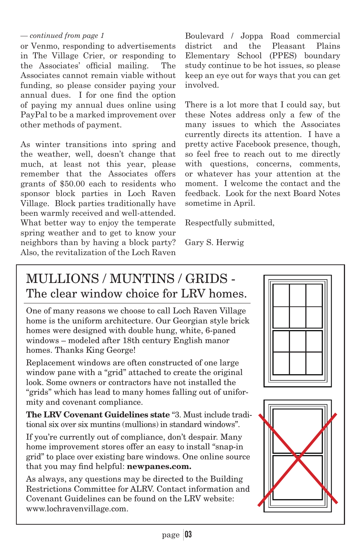#### *— continued from page 1*

or Venmo, responding to advertisements in The Village Crier, or responding to the Associates' official mailing. The Associates cannot remain viable without funding, so please consider paying your annual dues. I for one find the option of paying my annual dues online using PayPal to be a marked improvement over other methods of payment.

As winter transitions into spring and the weather, well, doesn't change that much, at least not this year, please remember that the Associates offers grants of \$50.00 each to residents who sponsor block parties in Loch Raven Village. Block parties traditionally have been warmly received and well-attended. What better way to enjoy the temperate spring weather and to get to know your neighbors than by having a block party? Also, the revitalization of the Loch Raven

Boulevard / Joppa Road commercial district and the Pleasant Plains Elementary School (PPES) boundary study continue to be hot issues, so please keep an eye out for ways that you can get involved.

There is a lot more that I could say, but these Notes address only a few of the many issues to which the Associates currently directs its attention. I have a pretty active Facebook presence, though, so feel free to reach out to me directly with questions, concerns, comments, or whatever has your attention at the moment. I welcome the contact and the feedback. Look for the next Board Notes sometime in April.

Respectfully submitted,

Gary S. Herwig

# MULLIONS / MUNTINS / GRIDS - The clear window choice for LRV homes.

One of many reasons we choose to call Loch Raven Village home is the uniform architecture. Our Georgian style brick homes were designed with double hung, white, 6-paned windows – modeled after 18th century English manor homes. Thanks King George!

Replacement windows are often constructed of one large window pane with a "grid" attached to create the original look. Some owners or contractors have not installed the "grids" which has lead to many homes falling out of uniformity and covenant compliance.

**The LRV Covenant Guidelines state** "3. Must include traditional six over six muntins (mullions) in standard windows".

If you're currently out of compliance, don't despair. Many home improvement stores offer an easy to install "snap-in grid" to place over existing bare windows. One online source that you may find helpful: newpanes.com.

As always, any questions may be directed to the Building Restrictions Committee for ALRV. Contact information and Covenant Guidelines can be found on the LRV website: www.lochravenvillage.com.



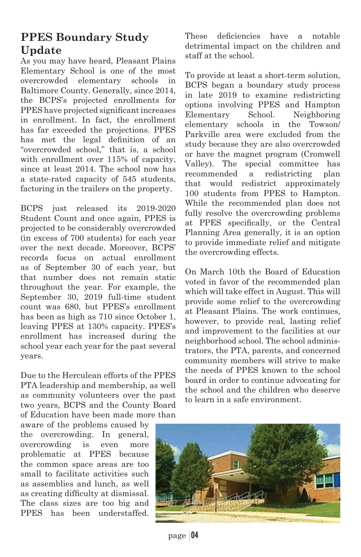# **PPES Boundary Study Update**

As you may have heard, Pleasant Plains Elementary School is one of the most overcrowded elementary schools in Baltimore County. Generally, since 2014, the BCPS's projected enrollments for PPES have projected significant increases in enrollment. In fact, the enrollment has far exceeded the projections. PPES has met the legal definition of an "overcrowded school," that is, a school with enrollment over 115% of capacity, since at least 2014. The school now has a state-rated capacity of 545 students, factoring in the trailers on the property.

BCPS just released its 2019-2020 Student Count and once again, PPES is projected to be considerably overcrowded (in excess of 700 students) for each year over the next decade. Moreover, BCPS' records focus on actual enrollment as of September 30 of each year, but that number does not remain static throughout the year. For example, the September 30, 2019 full-time student count was 680, but PPES's enrollment has been as high as 710 since October 1, leaving PPES at 130% capacity. PPES's enrollment has increased during the school year each year for the past several years.

Due to the Herculean efforts of the PPES PTA leadership and membership, as well as community volunteers over the past two years, BCPS and the County Board of Education have been made more than

aware of the problems caused by the overcrowding. In general, overcrowding is even more problematic at PPES because the common space areas are too small to facilitate activities such as assemblies and lunch, as well as creating difficulty at dismissal. The class sizes are too big and PPES has been understaffed.

These deficiencies have a notable detrimental impact on the children and staff at the school.

To provide at least a short-term solution, BCPS began a boundary study process in late 2019 to examine redistricting options involving PPES and Hampton Elementary School. Neighboring elementary schools in the Towson/ Parkville area were excluded from the study because they are also overcrowded or have the magnet program (Cromwell Valley). The special committee has recommended a redistricting plan that would redistrict approximately 100 students from PPES to Hampton. While the recommended plan does not fully resolve the overcrowding problems at PPES specifically, or the Central Planning Area generally, it is an option to provide immediate relief and mitigate the overcrowding effects.

On March 10th the Board of Education voted in favor of the recommended plan which will take effect in August. This will provide some relief to the overcrowding at Pleasant Plains. The work continues, however, to provide real, lasting relief and improvement to the facilities at our neighborhood school. The school administrators, the PTA, parents, and concerned community members will strive to make the needs of PPES known to the school board in order to continue advocating for the school and the children who deserve to learn in a safe environment.



page 04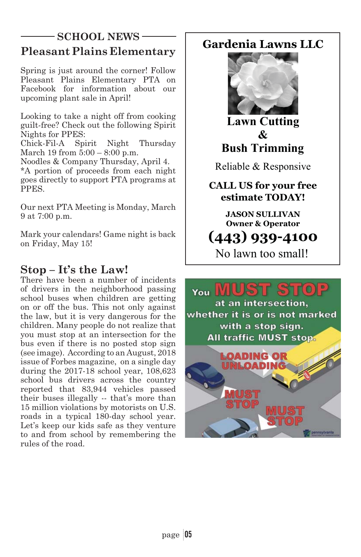#### **Pleasant Plains Elementary SCHOOL NEWS** Gardenia Lawns LLC

Spring is just around the corner! Follow Pleasant Plains Elementary PTA on Facebook for information about our upcoming plant sale in April!

Looking to take a night off from cooking guilt-free? Check out the following Spirit Nights for PPES:

Chick-Fil-A Spirit Night Thursday March 19 from 5:00 – 8:00 p.m.

Noodles & Company Thursday, April 4.

\*A portion of proceeds from each night goes directly to support PTA programs at PPES.

Our next PTA Meeting is Monday, March 9 at 7:00 p.m.

Mark your calendars! Game night is back on Friday, May 15!

# **Stop – It's the Law!**

There have been a number of incidents of drivers in the neighborhood passing school buses when children are getting on or off the bus. This not only against the law, but it is very dangerous for the children. Many people do not realize that you must stop at an intersection for the bus even if there is no posted stop sign (see image). According to an August, 2018 issue of Forbes magazine, on a single day during the 2017-18 school year, 108,623 school bus drivers across the country reported that 83,944 vehicles passed their buses illegally -- that's more than 15 million violations by motorists on U.S. roads in a typical 180-day school year. Let's keep our kids safe as they venture to and from school by remembering the rules of the road.



**Lawn Cutting**  $\mathcal{R}_{I}$ **Bush Trimming** 

Reliable & Responsive

**CALL US for your free estimate TODAY!** 

> **JASON SULLIVAN 2** Operator

# 

No lawn too small!

# You

at an intersection. whether it is or is not marked with a stop sign. **All traffic MUST stop.** 

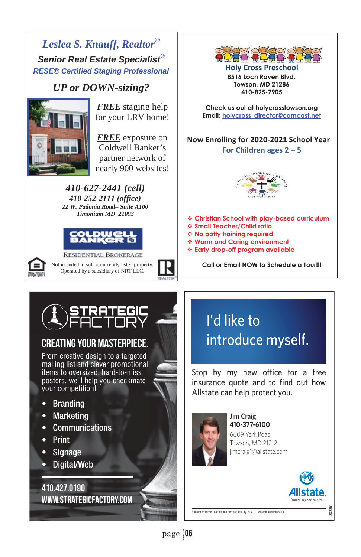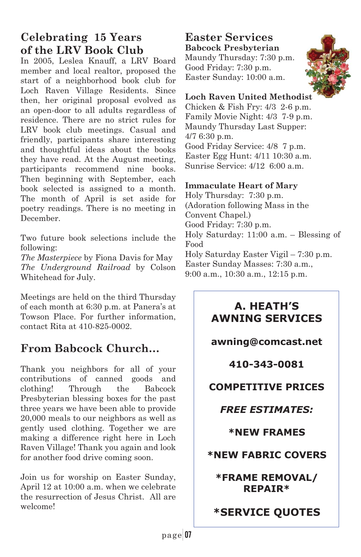# **Celebrating 15 Years of the LRV Book Club**

In 2005, Leslea Knauff, a LRV Board member and local realtor, proposed the start of a neighborhood book club for Loch Raven Village Residents. Since then, her original proposal evolved as an open-door to all adults regardless of residence. There are no strict rules for LRV book club meetings. Casual and friendly, participants share interesting and thoughtful ideas about the books they have read. At the August meeting, participants recommend nine books. Then beginning with September, each book selected is assigned to a month. The month of April is set aside for poetry readings. There is no meeting in December.

Two future book selections include the following:

*The Masterpiece* by Fiona Davis for May *The Underground Railroad* by Colson Whitehead for July.

Meetings are held on the third Thursday of each month at 6:30 p.m. at Panera's at Towson Place. For further information, contact Rita at 410-825-0002.

# **From Babcock Church…**

Thank you neighbors for all of your contributions of canned goods and clothing! Through the Babcock Presbyterian blessing boxes for the past three years we have been able to provide 20,000 meals to our neighbors as well as gently used clothing. Together we are making a difference right here in Loch Raven Village! Thank you again and look for another food drive coming soon.

Join us for worship on Easter Sunday, April 12 at 10:00 a.m. when we celebrate the resurrection of Jesus Christ. All are welcome!

#### **Easter Services Babcock Presbyterian**

Maundy Thursday: 7:30 p.m. Good Friday: 7:30 p.m. Easter Sunday: 10:00 a.m.



#### **Loch Raven United Methodist**

Chicken & Fish Fry: 4/3 2-6 p.m. Family Movie Night: 4/3 7-9 p.m. Maundy Thursday Last Supper: 4/7 6:30 p.m. Good Friday Service: 4/8 7 p.m. Easter Egg Hunt: 4/11 10:30 a.m. Sunrise Service: 4/12 6:00 a.m.

#### **Immaculate Heart of Mary**

Holy Thursday: 7:30 p.m. (Adoration following Mass in the Convent Chapel.) Good Friday: 7:30 p.m. Holy Saturday: 11:00 a.m. – Blessing of Food Holy Saturday Easter Vigil – 7:30 p.m. Easter Sunday Masses: 7:30 a.m., 9:00 a.m., 10:30 a.m., 12:15 p.m.

# **A. HEATH'S AWNING SERVICES**

# **awning@comcast.net**

# **410-343-0081**

# **COMPETITIVE PRICES**

# *FREE ESTIMATES:*

#### **\*NEW FRAMES**

# **\*NEW FABRIC COVERS**

**\*FRAME REMOVAL/ REPAIR\*** 

# **\*SERVICE QUOTES**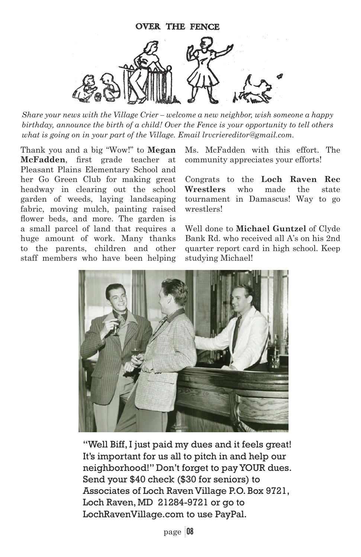

*Share your news with the Village Crier – welcome a new neighbor, wish someone a happy birthday, announce the birth of a child! Over the Fence is your opportunity to tell others what is going on in your part of the Village. Email lrvcriereditor@gmail.com.*

Thank you and a big "Wow!" to **Megan McFadden**, first grade teacher at Pleasant Plains Elementary School and her Go Green Club for making great headway in clearing out the school garden of weeds, laying landscaping fabric, moving mulch, painting raised flower beds, and more. The garden is a small parcel of land that requires a huge amount of work. Many thanks to the parents, children and other staff members who have been helping Ms. McFadden with this effort. The community appreciates your efforts!

Congrats to the **Loch Raven Rec Wrestlers** who made the state tournament in Damascus! Way to go wrestlers!

Well done to **Michael Guntzel** of Clyde Bank Rd. who received all A's on his 2nd quarter report card in high school. Keep studying Michael!



"Well Biff, I just paid my dues and it feels great! It's important for us all to pitch in and help our neighborhood!" Don't forget to pay YOUR dues. Send your \$40 check (\$30 for seniors) to Associates of Loch Raven Village P.O. Box 9721, Loch Raven, MD 21284-9721 or go to LochRavenVillage.com to use PayPal.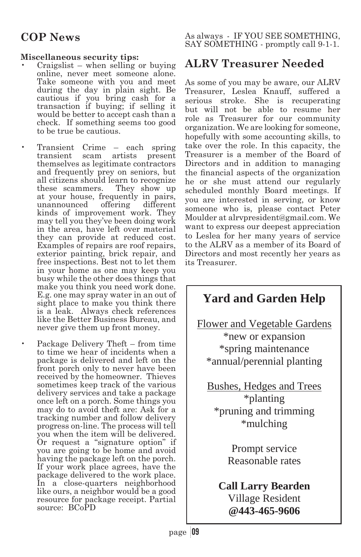#### **Miscellaneous security tips:**

- Craigslist when selling or buying online, never meet someone alone. Take someone with you and meet during the day in plain sight. Be cautious if you bring cash for a transaction if buying; if selling it would be better to accept cash than a check. If something seems too good to be true be cautious.
- Transient Crime each spring<br>transient scam artists present transient scam themselves as legitimate contractors and frequently prey on seniors, but all citizens should learn to recognize these scammers. They show up at your house, frequently in pairs, unannounced kinds of improvement work. They may tell you they've been doing work in the area, have left over material they can provide at reduced cost. Examples of repairs are roof repairs, exterior painting, brick repair, and free inspections. Best not to let them in your home as one may keep you busy while the other does things that make you think you need work done. E.g. one may spray water in an out of sight place to make you think there is a leak. Always check references like the Better Business Bureau, and never give them up front money.
	- Package Delivery Theft from time to time we hear of incidents when a package is delivered and left on the front porch only to never have been received by the homeowner. Thieves sometimes keep track of the various delivery services and take a package once left on a porch. Some things you may do to avoid theft are: Ask for a tracking number and follow delivery progress on-line. The process will tell you when the item will be delivered. Or request a "signature option" if you are going to be home and avoid having the package left on the porch. If your work place agrees, have the package delivered to the work place. In a close-quarters neighborhood like ours, a neighbor would be a good resource for package receipt. Partial source: BCoPD

As always - IF YOU SEE SOMETHING, SAY SOMETHING - promptly call 9-1-1.

# **ALRV Treasurer Needed**

As some of you may be aware, our ALRV Treasurer, Leslea Knauff, suffered a serious stroke. She is recuperating but will not be able to resume her role as Treasurer for our community organization. We are looking for someone, hopefully with some accounting skills, to take over the role. In this capacity, the Treasurer is a member of the Board of Directors and in addition to managing the financial aspects of the organization he or she must attend our regularly scheduled monthly Board meetings. If you are interested in serving, or know someone who is, please contact Peter Moulder at alrvpresident@gmail.com. We want to express our deepest appreciation to Leslea for her many years of service to the ALRV as a member of its Board of Directors and most recently her years as its Treasurer.

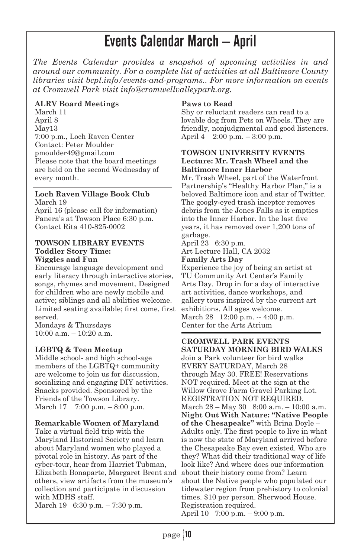# Events Calendar March – April

*The Events Calendar provides a snapshot of upcoming activities in and around our community. For a complete list of activities at all Baltimore County libraries visit bcpl.info/events-and-programs.. For more information on events at Cromwell Park visit info@cromwellvalleypark.org.* 

#### **ALRV Board Meetings**

March 11 April 8 May13 7:00 p.m., Loch Raven Center Contact: Peter Moulder pmoulder49@gmail.com Please note that the board meetings are held on the second Wednesday of every month.

#### **Loch Raven Village Book Club** March 19

April 16 (please call for information) Panera's at Towson Place 6:30 p.m. Contact Rita 410-825-0002

#### **TOWSON LIBRARY EVENTS Toddler Story Time: Wiggles and Fun**

Encourage language development and early literacy through interactive stories, songs, rhymes and movement. Designed for children who are newly mobile and active; siblings and all abilities welcome. Limited seating available; first come, first served.

Mondays & Thursdays 10:00 a.m. – 10:20 a.m.

#### **LGBTQ & Teen Meetup**

Middle school- and high school-age members of the LGBTQ+ community are welcome to join us for discussion, socializing and engaging DIY activities. Snacks provided. Sponsored by the Friends of the Towson Library. March 17 7:00 p.m. – 8:00 p.m.

#### **Remarkable Women of Maryland**

Take a virtual field trip with the Maryland Historical Society and learn about Maryland women who played a pivotal role in history. As part of the cyber-tour, hear from Harriet Tubman, Elizabeth Bonaparte, Margaret Brent and others, view artifacts from the museum's collection and participate in discussion with MDHS staff. March 19 6:30 p.m. – 7:30 p.m.

#### **Paws to Read**

Shy or reluctant readers can read to a lovable dog from Pets on Wheels. They are friendly, nonjudgmental and good listeners. April 4 2:00 p.m. – 3:00 p.m.

#### **TOWSON UNIVERSITY EVENTS Lecture: Mr. Trash Wheel and the Baltimore Inner Harbor**

Mr. Trash Wheel, part of the Waterfront Partnership's "Healthy Harbor Plan," is a beloved Baltimore icon and star of Twitter. The googly-eyed trash inceptor removes debris from the Jones Falls as it empties into the Inner Harbor. In the last five years, it has removed over 1,200 tons of garbage.

#### April 23 6:30 p.m. Art Lecture Hall, CA 2032

#### **Family Arts Day**

Experience the joy of being an artist at TU Community Art Center's Family Arts Day. Drop in for a day of interactive art activities, dance workshops, and gallery tours inspired by the current art exhibitions. All ages welcome. March 28 12:00 p.m. -- 4:00 p.m. Center for the Arts Atrium

#### **CROMWELL PARK EVENTS SATURDAY MORNING BIRD WALKS**

Join a Park volunteer for bird walks EVERY SATURDAY, March 28 through May 30. FREE! Reservations NOT required. Meet at the sign at the Willow Grove Farm Gravel Parking Lot. REGISTRATION NOT REQUIRED. March 28 – May 30 8:00 a.m. – 10:00 a.m. **Night Out With Nature: "Native People of the Chesapeake"** with Brina Doyle – Adults only. The first people to live in what is now the state of Maryland arrived before the Chesapeake Bay even existed. Who are they? What did their traditional way of life look like? And where does our information about their history come from? Learn about the Native people who populated our tidewater region from prehistory to colonial times. \$10 per person. Sherwood House. Registration required.

April 10 7:00 p.m. – 9:00 p.m.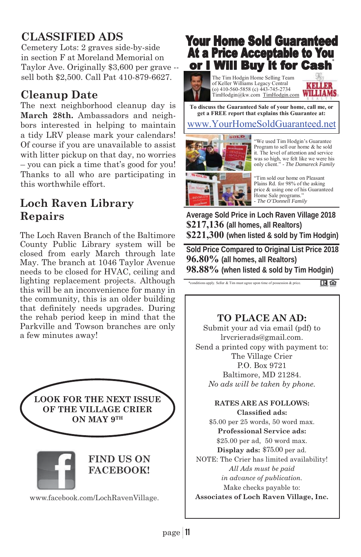# **CLASSIFIED ADS**

Cemetery Lots: 2 graves side-by-side in section F at Moreland Memorial on Taylor Ave. Originally \$3,600 per grave - sell both \$2,500. Call Pat 410-879-6627.

# **Cleanup Date**

The next neighborhood cleanup day is **March 28th.** Ambassadors and neighbors interested in helping to maintain a tidy LRV please mark your calendars! Of course if you are unavailable to assist with litter pickup on that day, no worries – you can pick a time that's good for you! Thanks to all who are participating in this worthwhile effort.

# **Loch Raven Library Repairs**

The Loch Raven Branch of the Baltimore County Public Library system will be closed from early March through late May. The branch at 1046 Taylor Avenue needs to be closed for HVAC, ceiling and lighting replacement projects. Although this will be an inconvenience for many in the community, this is an older building that definitely needs upgrades. During the rehab period keep in mind that the Parkville and Towson branches are only a few minutes away!



# **Your Home Sold Guaranteed At a Price Acceptable to You** or I Will Buy it for Cash

The Tim Hodgin Home Selling Team of Keller Williams Legacy Central (o) 410-560-5858 (c) 443-745-2734 TimHodgin@kw.com TimHodgin.com

**CARDI WILLIAMS** 

www.YourHomeSoldGuaranteed.net **To discuss the Guaranteed Sale of your home, call me, or get a FREE report that explains this Guarantee at:** 



"We used Tim Hodgin's Guarantee Program to sell our home & he sold it. The level of attention and service was so high, we felt like we were his only client." - *The Damareck Family*

"Tim sold our home on Pleasant Plains Rd. for 98% of the asking price & using one of his Guaranteed Home Sale programs.' - *The O'Donnell Family*

**Average Sold Price in Loch Raven Village 2018 \$217,136 (all homes, all Realtors) \$221,300 (when listed & sold by Tim Hodgin)** 

**Sold Price Compared to Original List Price 2018 96.80% (all homes, all Realtors) 98.88% (when listed & sold by Tim Hodgin)**

\*conditions apply. Seller & Tim must agree upon time of possession & price.

旧合

# **TO PLACE AN AD:**

Submit your ad via email (pdf) to lrvcrierads@gmail.com. Send a printed copy with payment to: The Village Crier P.O. Box 9721 Baltimore, MD 21284. *No ads will be taken by phone.*

#### **RATES ARE AS FOLLOWS:** Classified ads:

\$5.00 per 25 words, 50 word max. **Professional Service ads:** \$25.00 per ad, 50 word max. Display ads: \$75.00 per ad. NOTE: The Crier has limited availability! *All Ads must be paid in advance of publication.*  Make checks payable to: **Associates of Loch Raven Village, Inc.**